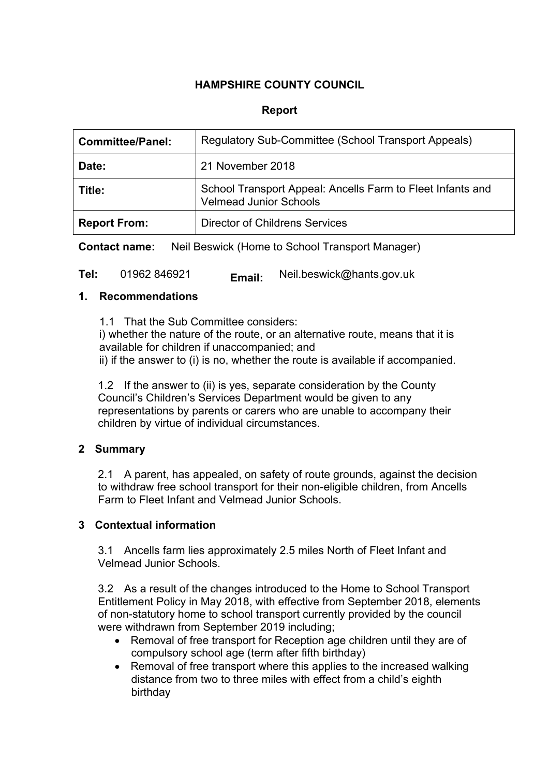# **HAMPSHIRE COUNTY COUNCIL**

### **Report**

| <b>Committee/Panel:</b> | Regulatory Sub-Committee (School Transport Appeals)                                         |
|-------------------------|---------------------------------------------------------------------------------------------|
| Date:                   | 21 November 2018                                                                            |
| Title:                  | School Transport Appeal: Ancells Farm to Fleet Infants and<br><b>Velmead Junior Schools</b> |
| <b>Report From:</b>     | <b>Director of Childrens Services</b>                                                       |

**Contact name:** Neil Beswick (Home to School Transport Manager)

**Tel:** 01962 846921 **Email:** Neil.beswick@hants.gov.uk

#### **1. Recommendations**

1.1 That the Sub Committee considers: i) whether the nature of the route, or an alternative route, means that it is available for children if unaccompanied; and ii) if the answer to (i) is no, whether the route is available if accompanied.

1.2 If the answer to (ii) is yes, separate consideration by the County Council's Children's Services Department would be given to any representations by parents or carers who are unable to accompany their children by virtue of individual circumstances.

## **2 Summary**

2.1 A parent, has appealed, on safety of route grounds, against the decision to withdraw free school transport for their non-eligible children, from Ancells Farm to Fleet Infant and Velmead Junior Schools.

## **3 Contextual information**

3.1 Ancells farm lies approximately 2.5 miles North of Fleet Infant and Velmead Junior Schools.

3.2 As a result of the changes introduced to the Home to School Transport Entitlement Policy in May 2018, with effective from September 2018, elements of non-statutory home to school transport currently provided by the council were withdrawn from September 2019 including;

- Removal of free transport for Reception age children until they are of compulsory school age (term after fifth birthday)
- Removal of free transport where this applies to the increased walking distance from two to three miles with effect from a child's eighth birthday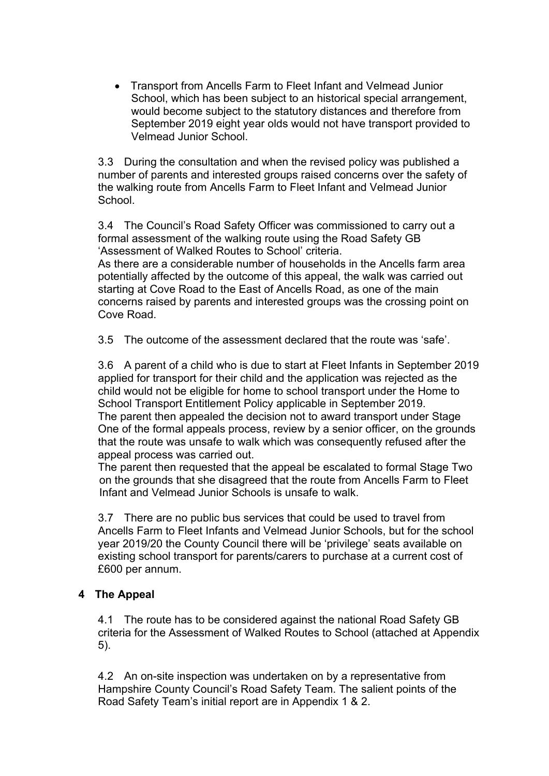Transport from Ancells Farm to Fleet Infant and Velmead Junior School, which has been subject to an historical special arrangement, would become subject to the statutory distances and therefore from September 2019 eight year olds would not have transport provided to Velmead Junior School.

3.3 During the consultation and when the revised policy was published a number of parents and interested groups raised concerns over the safety of the walking route from Ancells Farm to Fleet Infant and Velmead Junior **School** 

3.4 The Council's Road Safety Officer was commissioned to carry out a formal assessment of the walking route using the Road Safety GB 'Assessment of Walked Routes to School' criteria.

As there are a considerable number of households in the Ancells farm area potentially affected by the outcome of this appeal, the walk was carried out starting at Cove Road to the East of Ancells Road, as one of the main concerns raised by parents and interested groups was the crossing point on Cove Road.

3.5 The outcome of the assessment declared that the route was 'safe'.

3.6 A parent of a child who is due to start at Fleet Infants in September 2019 applied for transport for their child and the application was rejected as the child would not be eligible for home to school transport under the Home to School Transport Entitlement Policy applicable in September 2019. The parent then appealed the decision not to award transport under Stage One of the formal appeals process, review by a senior officer, on the grounds that the route was unsafe to walk which was consequently refused after the appeal process was carried out.

The parent then requested that the appeal be escalated to formal Stage Two on the grounds that she disagreed that the route from Ancells Farm to Fleet Infant and Velmead Junior Schools is unsafe to walk.

3.7 There are no public bus services that could be used to travel from Ancells Farm to Fleet Infants and Velmead Junior Schools, but for the school year 2019/20 the County Council there will be 'privilege' seats available on existing school transport for parents/carers to purchase at a current cost of £600 per annum.

#### **4 The Appeal**

4.1 The route has to be considered against the national Road Safety GB criteria for the Assessment of Walked Routes to School (attached at Appendix 5).

4.2 An on-site inspection was undertaken on by a representative from Hampshire County Council's Road Safety Team. The salient points of the Road Safety Team's initial report are in Appendix 1 & 2.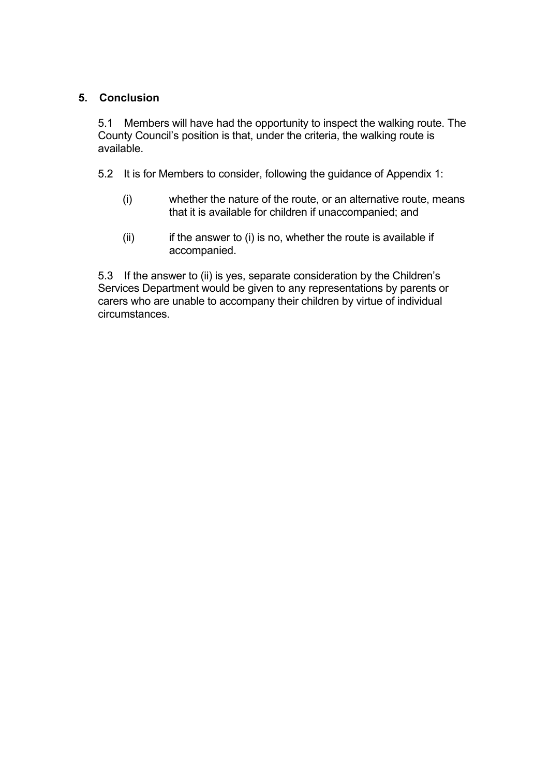## **5. Conclusion**

5.1 Members will have had the opportunity to inspect the walking route. The County Council's position is that, under the criteria, the walking route is available.

- 5.2 It is for Members to consider, following the guidance of Appendix 1:
	- (i) whether the nature of the route, or an alternative route, means that it is available for children if unaccompanied; and
	- $(ii)$  if the answer to  $(i)$  is no, whether the route is available if accompanied.

5.3 If the answer to (ii) is yes, separate consideration by the Children's Services Department would be given to any representations by parents or carers who are unable to accompany their children by virtue of individual circumstances.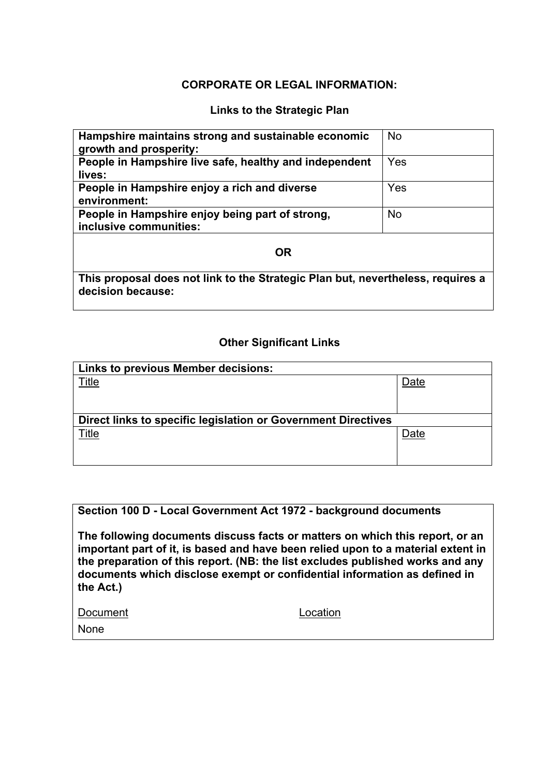## **CORPORATE OR LEGAL INFORMATION:**

#### **Links to the Strategic Plan**

| Hampshire maintains strong and sustainable economic<br>growth and prosperity:                        | <b>No</b> |  |  |  |
|------------------------------------------------------------------------------------------------------|-----------|--|--|--|
| People in Hampshire live safe, healthy and independent<br>lives:                                     | Yes       |  |  |  |
| People in Hampshire enjoy a rich and diverse<br>environment:                                         | Yes       |  |  |  |
| People in Hampshire enjoy being part of strong,<br>inclusive communities:                            | <b>No</b> |  |  |  |
| <b>OR</b>                                                                                            |           |  |  |  |
| This proposal does not link to the Strategic Plan but, nevertheless, requires a<br>decision because: |           |  |  |  |

### **Other Significant Links**

| Links to previous Member decisions:                           |      |  |
|---------------------------------------------------------------|------|--|
| Title                                                         | Date |  |
|                                                               |      |  |
| Direct links to specific legislation or Government Directives |      |  |
| Title                                                         | Date |  |

#### **Section 100 D - Local Government Act 1972 - background documents**

**The following documents discuss facts or matters on which this report, or an important part of it, is based and have been relied upon to a material extent in the preparation of this report. (NB: the list excludes published works and any documents which disclose exempt or confidential information as defined in the Act.)**

| Document |  |
|----------|--|
|          |  |

None

ocation